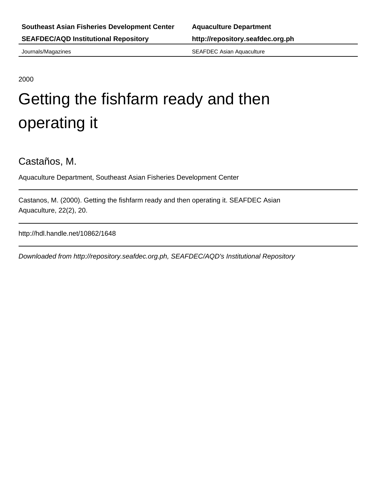Journals/Magazines SEAFDEC Asian Aquaculture

2000

## Getting the fishfarm ready and then operating it

Castaños, M.

Aquaculture Department, Southeast Asian Fisheries Development Center

Castanos, M. (2000). Getting the fishfarm ready and then operating it. SEAFDEC Asian Aquaculture, 22(2), 20.

http://hdl.handle.net/10862/1648

Downloaded from http://repository.seafdec.org.ph, SEAFDEC/AQD's Institutional Repository